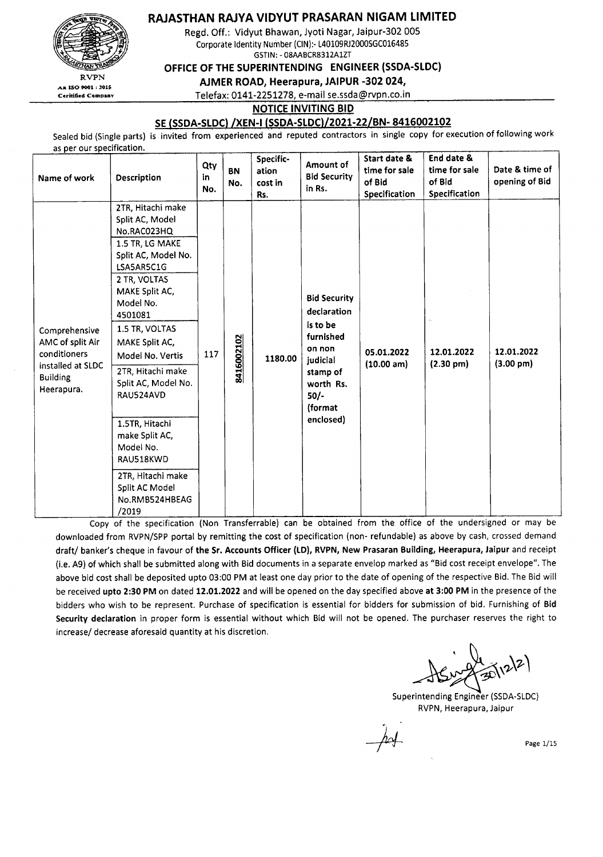RAJASTHAN RAJYA VIDYUT PRASARAN NIGAM LIMITED

Regd. Off.: Vidyut Bhawan, Jyoti Nagar, Jaipur-302 005 Corporate Identity Number (ClN):-L40109RJ2000SGC016485 GSTlN: - 08AABCR8312A1ZT

OFFICE OF THE SUPERINTENDING ENGINEER (SSDA-SLDC)

AJMER ROAD, Heerapura, JAIPUR -302 024,

Telefax: 0141-2251278, e-mail se.ssda@rvpn.co.in

#### NOTICE INVITING BID

#### SE (SSDA-SLDC) /XEN-I (SSDA-SLDC)/2021-22/BN- 8416002102

Sealed bid (Single parts) is invited from experienced and reputed contractors in single copy for execution of following work

as per our specification

RVPN

An ISO 9001:2015 Ceritified Company

| Name of work                                                                                            | <b>Description</b>                                                                                                                                                                                                                                                                                                                                                                                                     | Qty<br>in<br>No. | <b>BN</b><br>No. | Specific-<br>ation<br>cost in<br>Rs. | Amount of<br><b>Bid Security</b><br>in Rs.                                                                                                   | Start date &<br>time for sale<br>of Bid<br>Specification | End date &<br>time for sale<br>of Bid<br>Specification | Date & time of<br>opening of Bid  |
|---------------------------------------------------------------------------------------------------------|------------------------------------------------------------------------------------------------------------------------------------------------------------------------------------------------------------------------------------------------------------------------------------------------------------------------------------------------------------------------------------------------------------------------|------------------|------------------|--------------------------------------|----------------------------------------------------------------------------------------------------------------------------------------------|----------------------------------------------------------|--------------------------------------------------------|-----------------------------------|
| Comprehensive<br>AMC of split Air<br>conditioners<br>installed at SLDC<br><b>Building</b><br>Heerapura. | 2TR, Hitachi make<br>Split AC, Model<br>No.RAC023HQ<br>1.5 TR, LG MAKE<br>Split AC, Model No.<br>LSA5AR5C1G<br>2 TR, VOLTAS<br>MAKE Split AC,<br>Model No.<br>4501081<br>1.5 TR, VOLTAS<br>MAKE Split AC,<br>Model No. Vertis<br>2TR, Hitachi make<br>Split AC, Model No.<br>RAU524AVD<br>1.5TR, Hitachi<br>make Split AC,<br>Model No.<br>RAU518KWD<br>2TR, Hitachi make<br>Split AC Model<br>No.RMB524HBEAG<br>/2019 | 117              | 8416002102       | 1180.00                              | <b>Bid Security</b><br>declaration<br>is to be<br>furnished<br>on non<br>judicial<br>stamp of<br>worth Rs.<br>$50/-$<br>(format<br>enclosed) | 05.01.2022<br>(10.00 am)                                 | 12.01.2022<br>$(2.30 \text{ pm})$                      | 12.01.2022<br>$(3.00 \text{ pm})$ |

Copy of the specification (Non Transferrable) can be obtained from the office of the undersigned or may be downloaded from RVPN/SPP portal by remitting the cost of specification (non- refundable) as above by cash, crossed demand draft/ banker's cheque in favour of the Sr. Accounts Officer (LD), RVPN, New Prasaran Building, Heerapura, Jaipur and receipt (i.e. A9) of which shall be submitted along with Bid documents in a separate envelop marked as "Bid cost receipt envelope". The above bid cost shall be deposited upto 03:00 PM at least one day prior to the date of opening of the respective Bid. The Bid will be received upto 2:30 PM on dated 12.01.2022 and will be opened on the day specified above at 3:00 PM in the presence of the bidders who wish to be represent. Purchase of specification is essential for bidders for submission of bid. Furnishing of Bid Security declaration in proper form is essential without which Bid will not be opened. The purchaser reserves the right to increase/ decrease aforesaid quantity at his discretion.

Superintending Engineer (SSDA-SLDC) RVPN, Heerapura, Jaipur

Page 1/15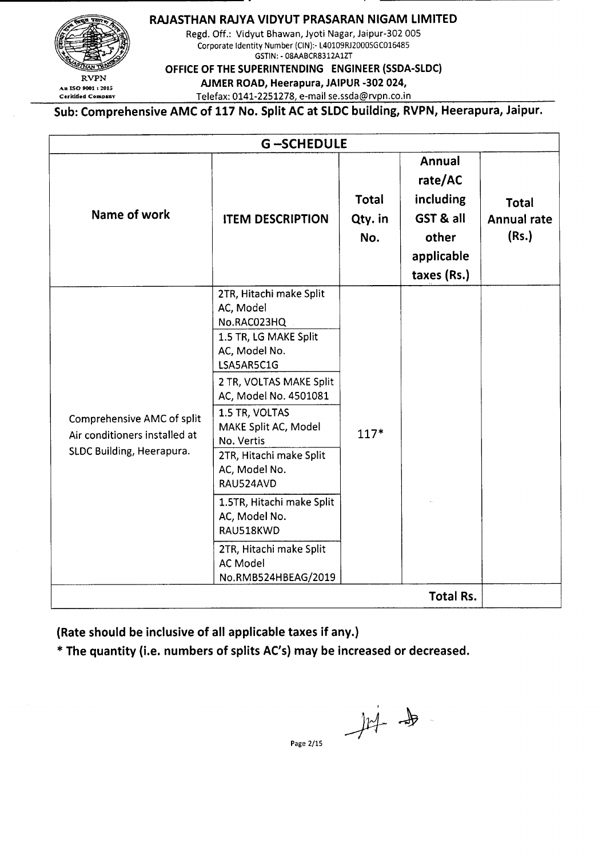**RAJASTHAN RAJYAVIDYUT PRASARAN NIGAM LIMITED**



Regd. Off.: Vidyut Bhawan, Jyoti Nagar, Jaipur-302 005 Corporate Identity Number (ClN):- L40109RJ2000SGC016485 GSTIN: - 08AABCR8312A1ZT

**OFFICE OF THE SUPERINTENDING ENGINEER (SSDA-SLDC)**

 $\sum_{\text{An ISO 9001 : 2015}}$  RVPN **AJMER ROAD, Heerapura, JAIPUR -302 024,** 

Ceritified Company Telefax: 0141-2251278, e-mail se.ssda@rvpn.co.in

**Sub: Comprehensive AMC of 117 No. Split AC at SLDCbuilding, RVPN, Heerapura, Jaipur.**

|                                                                                          | <b>G-SCHEDULE</b>                                                                                                                                                                                                                                                                |                         |                                                                                   |                                      |  |  |
|------------------------------------------------------------------------------------------|----------------------------------------------------------------------------------------------------------------------------------------------------------------------------------------------------------------------------------------------------------------------------------|-------------------------|-----------------------------------------------------------------------------------|--------------------------------------|--|--|
| Name of work                                                                             | <b>ITEM DESCRIPTION</b>                                                                                                                                                                                                                                                          | Total<br>Qty. in<br>No. | Annual<br>rate/AC<br>including<br>GST & all<br>other<br>applicable<br>taxes (Rs.) | Total<br><b>Annual rate</b><br>(Rs.) |  |  |
| Comprehensive AMC of split<br>Air conditioners installed at<br>SLDC Building, Heerapura. | 2TR, Hitachi make Split<br>AC, Model<br>No.RAC023HQ<br>1.5 TR, LG MAKE Split<br>AC, Model No.<br>LSA5AR5C1G<br>2 TR, VOLTAS MAKE Split<br>AC, Model No. 4501081<br>1.5 TR, VOLTAS<br>MAKE Split AC, Model<br>No. Vertis<br>2TR, Hitachi make Split<br>AC, Model No.<br>RAU524AVD | $117*$                  |                                                                                   |                                      |  |  |
|                                                                                          | 1.5TR, Hitachi make Split<br>AC, Model No.<br>RAU518KWD                                                                                                                                                                                                                          |                         |                                                                                   |                                      |  |  |
|                                                                                          | 2TR, Hitachi make Split<br><b>AC Model</b><br>No.RMB524HBEAG/2019                                                                                                                                                                                                                |                         | <b>Total Rs.</b>                                                                  |                                      |  |  |

**(Rate should be inclusive of all applicable taxes if any.)**

\* **The quantity (i.e. numbers of splits AC's) may be increased or decreased.**

一件 由

Page 2/15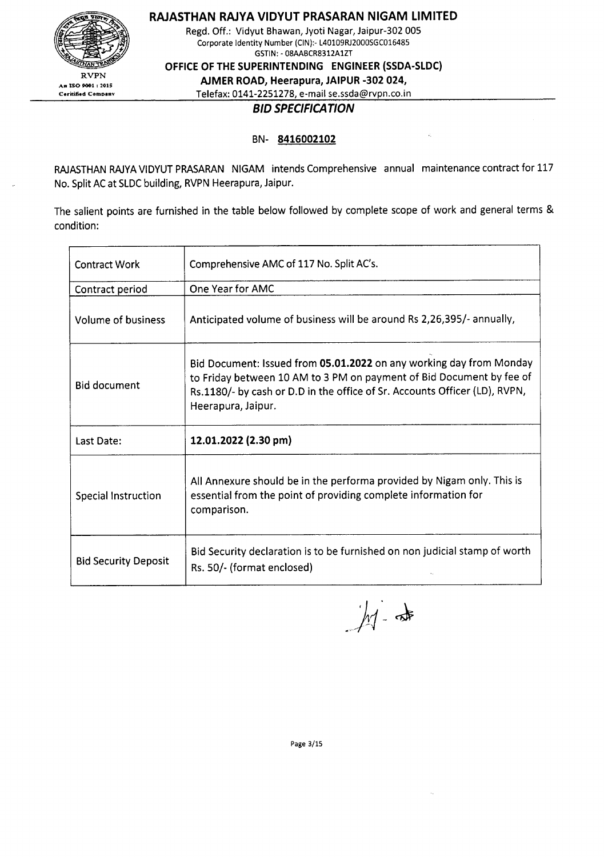

RAJASTHAN RAJVA VIDvUT PRASARAN NIGAM LIMITED

Regd. Off.: Vidyut Bhawan, Jyoti Nagar, Jaipur-302 005 Corporate Identity Number (CIN):- L40109RJ2000SGC016485 GSTlN:- 08AABCR8312A1ZT

OFFICE OF THE SUPERINTENDING ENGINEER (SSDA-SLDC)

AJMER ROAD, Heerapura, JAIPUR -302 024,

Telefax: 0141-2251278, e-mail se.ssda@rvpn.co.in

### *BID SPECIFICATION*

#### BN- 8416002102

RAJASTHAN RAJYA VIDYUT PRASARAN NIGAM intends Comprehensive annual maintenance contract for 117 No. Split AC at SLDC building, RVPN Heerapura, Jaipur.

The salient points are furnished in the table below followed by complete scope of work and general terms & condition:

| <b>Contract Work</b>        | Comprehensive AMC of 117 No. Split AC's.                                                                                                                                                                                                        |  |  |
|-----------------------------|-------------------------------------------------------------------------------------------------------------------------------------------------------------------------------------------------------------------------------------------------|--|--|
| Contract period             | One Year for AMC                                                                                                                                                                                                                                |  |  |
| Volume of business          | Anticipated volume of business will be around Rs 2,26,395/- annually,                                                                                                                                                                           |  |  |
| <b>Bid document</b>         | Bid Document: Issued from 05.01.2022 on any working day from Monday<br>to Friday between 10 AM to 3 PM on payment of Bid Document by fee of<br>Rs.1180/- by cash or D.D in the office of Sr. Accounts Officer (LD), RVPN,<br>Heerapura, Jaipur. |  |  |
| Last Date:                  | 12.01.2022 (2.30 pm)                                                                                                                                                                                                                            |  |  |
| Special Instruction         | All Annexure should be in the performa provided by Nigam only. This is<br>essential from the point of providing complete information for<br>comparison.                                                                                         |  |  |
| <b>Bid Security Deposit</b> | Bid Security declaration is to be furnished on non judicial stamp of worth<br>Rs. 50/- (format enclosed)                                                                                                                                        |  |  |

 $M -$ 

Page 3/15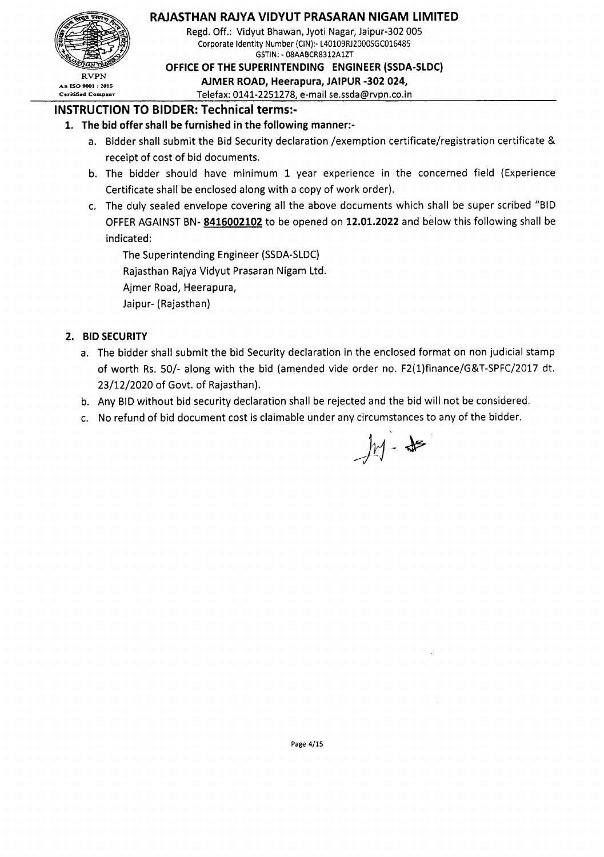

### RAJASTHAN RAJYA VIDYUT PRASARAN NIGAM LIMITED

Regd. Off.: Vidyut Bhawan, Jyoti Nagar, Jaipur-302 005 Corporate Identity Number (CIN):- L40109RJ2000SGC016485 GSTIN:- 08AABCR8312AIZT

OFFICE OF THE SUPERINTENDING ENGINEER (SSDA-SLDC)

 $X^{\text{KVPN}}$  AJMER ROAD, Heerapura, JAIPUR-302 024,

Ceritified Company Telefax: 0141-2251278, e-mail se.ssda@rvpn.co.in

### INSTRUCTION TO BIDDER: Technical terms:-

#### 1. The bid offer shall be furnished in the following manner:-

- a. Bidder shall submit the Bid Security declaration /exemption certificate/registration certificate & receipt of cost of bid documents.
- b. The bidder should have minimum 1 year experience in the concerned field (Experience Certificate shall be enclosed along with a copy of work order).
- c. The duly sealed envelope covering all the above documents which shall be super scribed "BID OFFER AGAINST BN-8416002102 to be opened on 12.01.2022 and below this following shall be indicated:

The Superintending Engineer (SSDA-SLDC) Rajasthan Rajya Vidyut Prasaran Nigam Ltd. Ajmer Road, Heerapura, Jaipur- (Rajasthan)

### 2. BID SECURITY

- a. The bidder shall submit the bid Security declaration in the enclosed format on non judicial stamp of worth Rs. 50/- along with the bid (amended vide order no. F2(1)finance/G&T-SPFC/2017 dt. 23/12/2020 of Govt. of Rajasthan).
- b. Any BID without bid security declaration shall be rejected and the bid will not be considered.
- c. No refund of bid document cost is claimable under any circumstances to any of the bidder.

 $M - 15$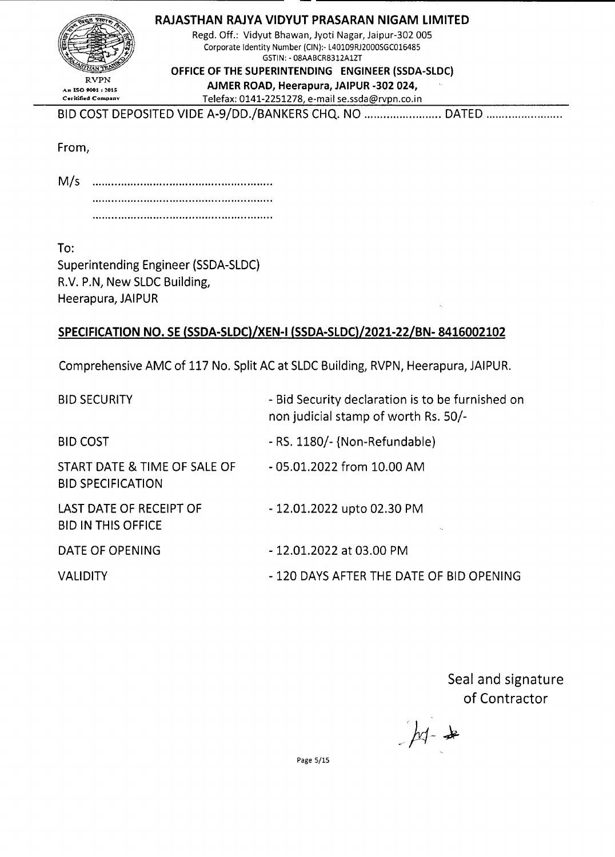| RAJASTHAN RAJYA VIDYUT PRASARAN NIGAM LIMITED          |  |
|--------------------------------------------------------|--|
| Regd. Off.: Vidyut Bhawan, Jyoti Nagar, Jaipur-302 005 |  |

RVPN

GSTIN:- 08AABCR8312AIZT OFFICE OF THE SUPERINTENDING ENGINEER (SSDA-SLDC)

Corporate Identity Number (CIN):- L40109RJ2000SGC016485

 $R_{\text{NPIN}}^{RVPN}$  an ISO 9001 : 2015 Ceritified Company Telefax: 0141-2251278, e-mail se.ssda@rvpn.co.in

BID COST DEPOSITED VIDE A-9/DD./BANKERS CHQ. NO ........................ DATED ..............................

From,

------------------

 $M/s$ 

To:

Superintending Engineer (SSDA-SLDC) R.V. P.N, New SLDC Building, Heerapura, JAIPUR

# SPECIFICATION NO. SE (SSDA-SLDC)/XEN-I (SSDA-SLDC)/2021-22/BN- 8416002102

Comprehensive AMC of 117 No. Split AC at SLDC Building, RVPN, Heerapura, JAIPUR.

| <b>BID SECURITY</b>                                      | - Bid Security declaration is to be furnished on<br>non judicial stamp of worth Rs. 50/- |
|----------------------------------------------------------|------------------------------------------------------------------------------------------|
| <b>BID COST</b>                                          | - RS. 1180/- {Non-Refundable)                                                            |
| START DATE & TIME OF SALE OF<br><b>BID SPECIFICATION</b> | - 05.01.2022 from 10.00 AM                                                               |
| LAST DATE OF RECEIPT OF<br><b>BID IN THIS OFFICE</b>     | - 12.01.2022 upto 02.30 PM                                                               |
| DATE OF OPENING                                          | - 12.01.2022 at 03.00 PM                                                                 |
| <b>VALIDITY</b>                                          | - 120 DAYS AFTER THE DATE OF BID OPENING                                                 |

Seal and signature of Contractor

 $M_{\pm}$ 

Page 5/15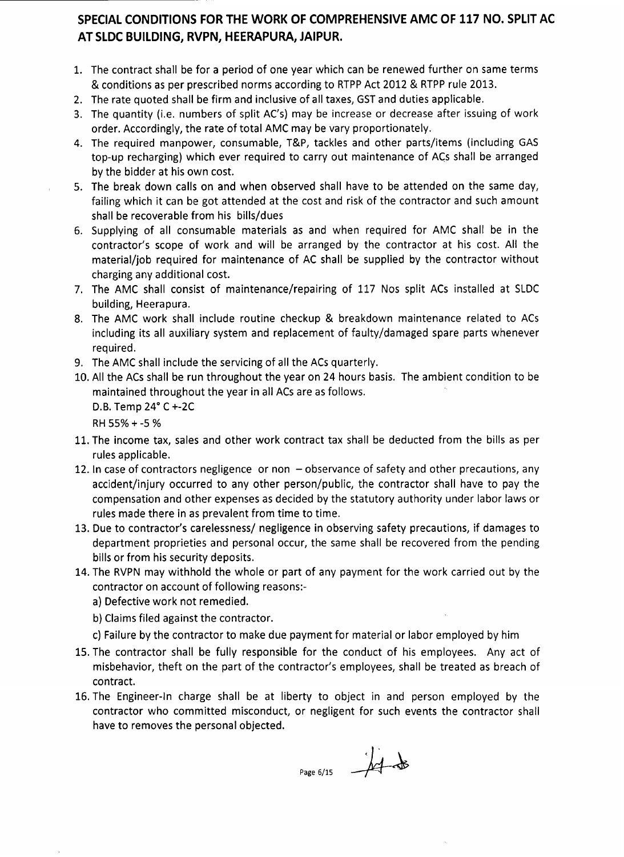## **SPECIAL CONDITIONS FOR THE WORK OF COMPREHENSIVE AMC OF 117 NO. SPLIT AC AT SLDC BUILDING, RVPN, HEERAPURA, JAIPUR.**

- 1. The contract shall be for a period of one year which can be renewed further on same terms & conditions as per prescribed norms according to RTPP Act 2012 & RTPP rule 2013.
- 2. The rate quoted shall be firm and inclusive of all taxes, GST and duties applicable.
- 3. The quantity (i.e. numbers of split AC's) may be increase or decrease after issuing of work order. Accordingly, the rate of total AMC may be vary proportionately.
- 4. The required manpower, consumable, T&P, tackles and other parts/items (including GAS top-up recharging) which ever required to carry out maintenance of ACs shall be arranged by the bidder at his own cost.
- 5. The break down calls on and when observed shall have to be attended on the same day, failing which it can be got attended at the cost and risk of the contractor and such amount shall be recoverable from his bills/dues
- 6. Supplying of all consumable materials as and when required for AMC shall be in the contractor's scope of work and will be arranged by the contractor at his cost. All the material/job required for maintenance of AC shall be supplied by the contractor without charging any additional cost.
- 7. The AMC shall consist of maintenance/repairing of 117 Nos split ACs installed at SLDC building, Heerapura.
- 8. The AMC work shall include routine checkup & breakdown maintenance related to ACs including its all auxiliary system and replacement of faulty/damaged spare parts whenever required.
- 9. The AMC shall include the servicing of all the ACs quarterly.
- 10. All the ACs shall be run throughout the year on 24 hours basis. The ambient condition to be maintained throughout the year in all ACs are as follows.

D.B.Temp 24° C+-2C

RH55%+-5 %

- 11. The income tax, sales and other work contract tax shall be deducted from the bills as per rules applicable.
- 12. In case of contractors negligence or non  $-$  observance of safety and other precautions, any accident/injury occurred to any other person/public, the contractor shall have to pay the compensation and other expenses asdecided by the statutory authority under labor laws or rules made there in as prevalent from time to time.
- 13. Due to contractor's carelessness/ negligence in observing safety precautions, if damages to department proprieties and personal occur, the same shall be recovered from the pending bills or from his security deposits.
- 14. The RVPN may withhold the whole or part of any payment for the work carried out by the contractor on account of following reasons:
	- a) Defective work not remedied.
	- b) Claims filed against the contractor.
	- c) Failure by the contractor to make due payment for material or labor employed by him
- 15. The contractor shall be fully responsible for the conduct of his employees. Any act of misbehavior, theft on the part of the contractor's employees, shall be treated as breach of contract.
- 16. The Engineer-In charge shall be at liberty to object in and person employed by the contractor who committed misconduct, or negligent for such events the contractor shall have to removes the personal objected.

 $P\text{age }6/15$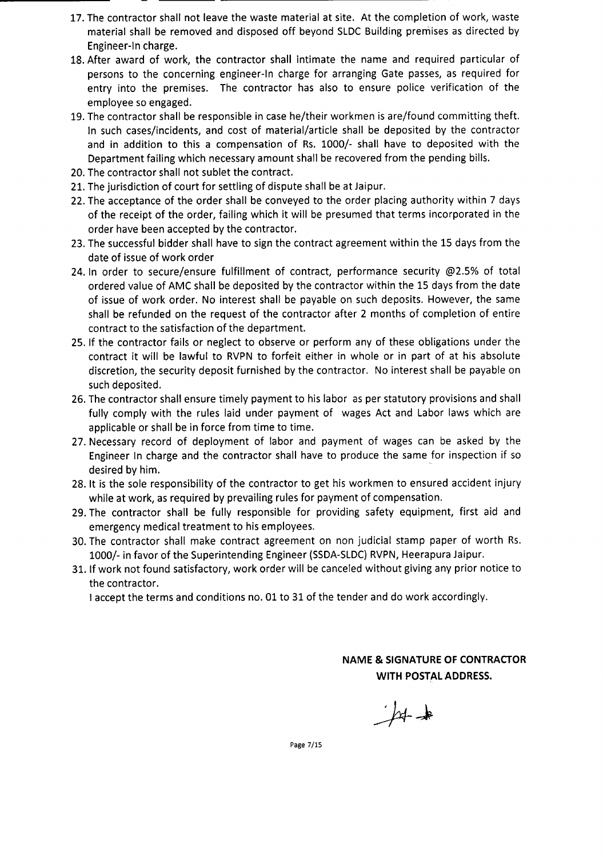- 17. The contractor shall not leave the waste material at site. At the completion of work, waste material shall be removed and disposed off beyond SLDC Building premises as directed by Engineer-In charge.
- 18. After award of work, the contractor shall intimate the name and required particular of persons to the concerning engineer-In charge for arranging Gate passes, as required for entry into the premises. The contractor has also to ensure police verification of the employee so engaged.
- 19. The contractor shall be responsible in case he/their workmen is are/found committing theft. In such cases/incidents, and cost of material/article shall be deposited by the contractor and in addition to this a compensation of Rs. 1000/- shall have to deposited with the Department failing which necessaryamount shall be recovered from the pending bills.
- 20. The contractor shall not sublet the contract.
- 21. The jurisdiction of court for settling of dispute shall be at Jaipur.
- 22. The acceptance of the order shall be conveyed to the order placing authority within 7 days of the receipt of the order, failing which it will be presumed that terms incorporated in the order have been accepted by the contractor.
- 23. The successful bidder shall have to sign the contract agreement within the 15 days from the date of issue of work order
- 24. In order to secure/ensure fulfillment of contract, performance security @2.5% of total ordered value of AMC shall be deposited by the contractor within the 15 days from the date of issue of work order. No interest shall be payable on such deposits. However, the same shall be refunded on the request of the contractor after 2 months of completion of entire contract to the satisfaction of the department.
- 25. If the contractor fails or neglect to observe or perform any of these obligations under the contract it will be lawful to RVPN to forfeit either in whole or in part of at his absolute discretion, the security deposit furnished by the contractor. No interest shall be payable on such deposited.
- 26. The contractor shall ensure timely payment to his labor as per statutory provisions and shall fully comply with the rules laid under payment of wages Act and Labor laws which are applicable or shall be in force from time to time.
- 27. Necessary record of deployment of labor and payment of wages can be asked by the Engineer In charge and the contractor shall have to produce the same for inspection if so desired by him.
- 28. It is the sole responsibility of the contractor to get his workmen to ensured accident injury while at work, as required by prevailing rules for payment of compensation.
- 29. The contractor shall be fully responsible for providing safety equipment, first aid and emergency medical treatment to his employees.
- 30. The contractor shall make contract agreement on non judicial stamp paper of worth Rs. 1000/- in favor of the Superintending Engineer (SSDA-SLDC) RVPN, Heerapura Jaipur.
- 31. If work not found satisfactory, work order will be canceled without giving any prior notice to the contractor.

I accept the terms and conditions no. 01 to 31 of the tender and do work accordingly.

NAME & SIGNATURE OF CONTRACTOR WITH POSTAL ADDRESS.

 $H+$ 

Page 7/15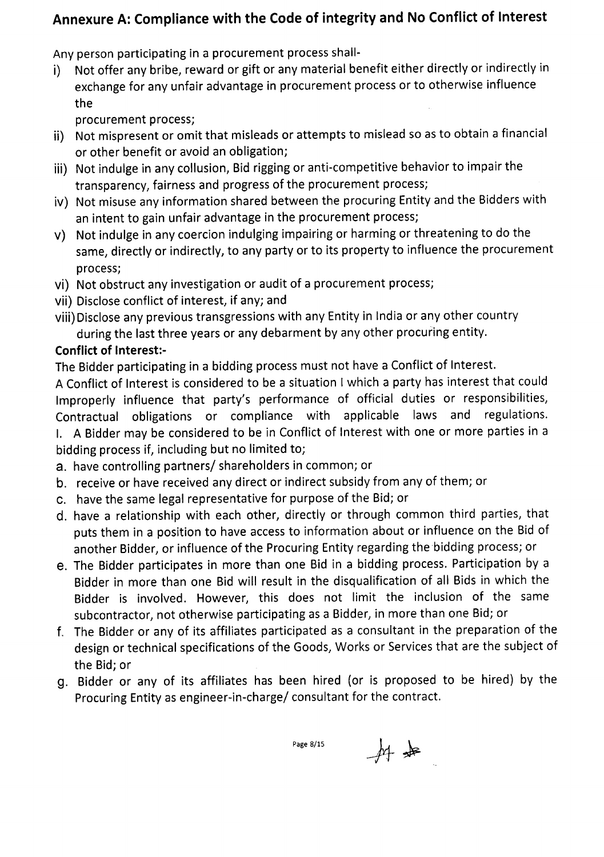# **Annexure A: Compliance with the Code of integrity and No Conflict of Interest**

Any person participating in a procurement process shall-

i) Not offer any bribe, reward or gift or any material benefit either directly or indirectly in exchange for any unfair advantage in procurement process or to otherwise influence the

procurement process;

- ii) Not mispresent or omit that misleads or attempts to mislead so as to obtain a financial or other benefit or avoid an obligation;
- iii) Not indulge in any collusion, Bid rigging or anti-competitive behavior to impair the transparency, fairness and progress of the procurement process;
- iv) Not misuse any information shared between the procuring Entity and the Bidders with an intent to gain unfair advantage in the procurement process;
- v) Not indulge in any coercion indulging impairing or harming or threatening to do the same, directly or indirectly, to any party or to its property to influence the procurement process;
- vi) Not obstruct any investigation or audit of a procurement process;
- vii) Disclose conflict of interest, if any; and
- viii) Disclose any previous transgressions with any Entity in India or any other country during the last three years or any debarment by any other procuring entity.

# **Conflict of Interest:-**

The Bidder participating in a bidding process must not have a Conflict of Interest.

A Conflict of Interest is considered to be a situation I which a party has interest that could Improperly influence that party's performance of official duties or responsibilities, Contractual obligations or compliance with applicable laws and regulations. I. A Bidder may be considered to be in Conflict of Interest with one or more parties in a

bidding process if, including but no limited to;

- a. have controlling partners/ shareholders in common; or
- b. receive or have received any direct or indirect subsidy from any of them; or
- c. have the same legal representative for purpose of the Bid; or
- d. have a relationship with each other, directly or through common third parties, that puts them in a position to have access to information about or influence on the Bid of another Bidder, or influence of the Procuring Entity regarding the bidding process; or
- e. The Bidder participates in more than one Bid in a bidding process. Participation by a Bidder in more than one Bid will result in the disqualification of all Bids in which the Bidder is involved. However, this does not limit the inclusion of the same subcontractor, not otherwise participating as a Bidder, in more than one Bid; or
- f. The Bidder or any of its affiliates participated as a consultant in the preparation of the design or technical specifications of the Goods, Works or Services that are the subject of the Bid; or
- g. Bidder or any of its affiliates has been hired (or is proposed to be hired) by the Procuring Entity as engineer-in-charge/ consultant for the contract.

Page 8/15

 $#$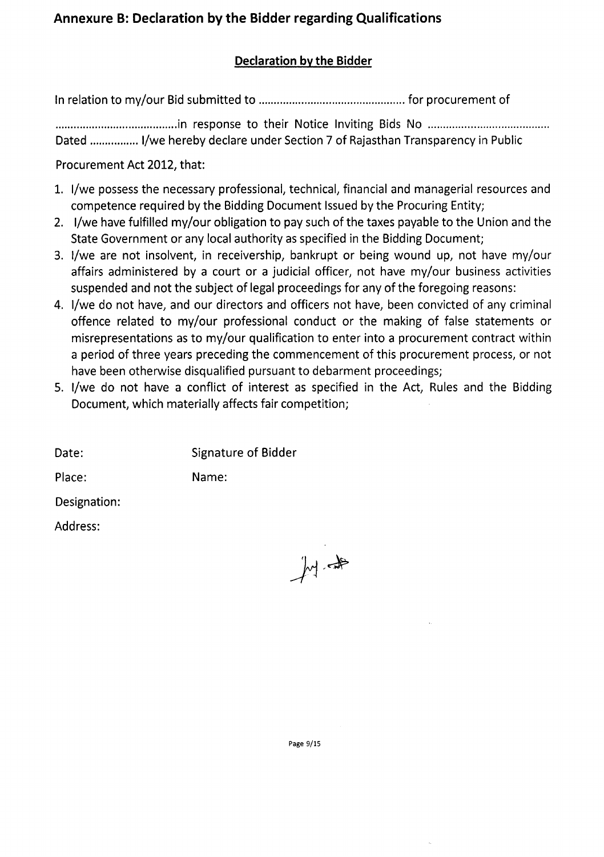# **Annexure B: Declaration by the Bidder regarding Qualifications**

# **Declaration by the Bidder**

In relation to my/our Bidsubmitted to for procurement of

........................................ in response to their Notice Inviting Bids No . Dated ................ I/we hereby declare under Section 7 of Rajasthan Transparency in Public

Procurement Act 2012, that:

- 1. I/we possess the necessary professional, technical, financial and managerial resources and competence required by the Bidding Document Issued by the Procuring Entity;
- 2. I/we have fulfilled my/our obligation to pay such of the taxes payable to the Union and the State Government or any local authority as specified in the Bidding Document;
- 3. I/we are not insolvent, in receivership, bankrupt or being wound up, not have my/our affairs administered by a court or a judicial officer, not have my/our business activities suspended and not the subject of legal proceedings for any of the foregoing reasons:
- 4. I/we do not have, and our directors and officers not have, been convicted of any criminal offence related to my/our professional conduct or the making of false statements or misrepresentations as to my/our qualification to enter into a procurement contract within a period of three years preceding the commencement of this procurement process, or not have been otherwise disqualified pursuant to debarment proceedings;
- S. I/we do not have a conflict of interest as specified in the Act, Rules and the Bidding Document, which materially affects fair competition;

| Date: | <b>Signature of Bidder</b> |  |
|-------|----------------------------|--|
|       |                            |  |

Place: Name:

Designation:

Address:

山井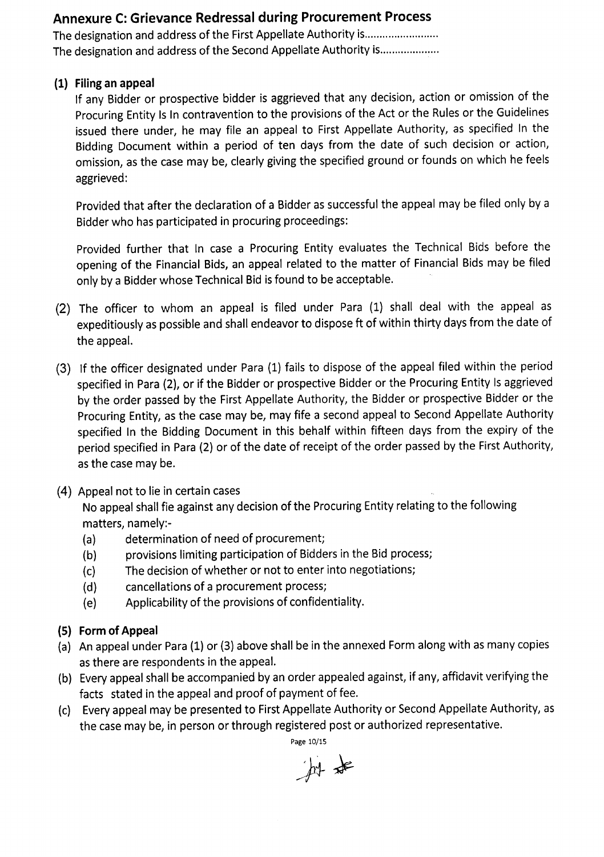# **Annexure C: Grievance Redressal during Procurement Process**

The designation and address of the First Appellate Authority is......................... The designation and address of the Second Appellate Authority is....................

### **(1) Filing an appeal**

If any Bidder or prospective bidder is aggrieved that any decision, action or omission of the Procuring Entity Is In contravention to the provisions of the Act or the Rules or the Guidelines issued there under, he may file an appeal to First Appellate Authority, as specified In the Bidding Document within a period of ten days from the date of such decision or action, omission, as the case may be, clearly giving the specified ground or founds on which he feels aggrieved:

Provided that after the declaration of a Bidder as successful the appeal may be filed only by a Bidder who has participated in procuring proceedings:

Provided further that In case a Procuring Entity evaluates the Technical Bids before the opening of the Financial Bids, an appeal related to the matter of Financial Bids may be filed only by a Bidder whose Technical Bid is found to be acceptable.

- (2) The officer to whom an appeal is filed under Para (1) shall deal with the appeal as expeditiously as possible and shall endeavor to dispose ft of within thirty days from the date of the appeal.
- (3) If the officer designated under Para (1) fails to dispose of the appeal filed within the period specified in Para (2), or if the Bidder or prospective Bidder or the Procuring Entity Is aggrieved by the order passed by the First Appellate Authority, the Bidder or prospective Bidder or the Procuring Entity, as the case may be, may fife a second appeal to Second Appellate Authority specified In the Bidding Document in this behalf within fifteen days from the expiry of the period specified in Para (2) or of the date of receipt of the order passed by the First Authority, as the case may be.
- (4) Appeal not to lie in certain cases

No appeal shall fie against any decision of the Procuring Entity relating to the following matters, namely:-

- (a) determination of need of procurement;
- (b) provisions limiting participation of Bidders in the Bid process;
- (c) The decision of whether or not to enter into negotiations;
- (d) cancellations of a procurement process;
- (e) Applicability of the provisions of confidentiality.
- **(5) Form of Appeal**
- (a) An appeal under Para(1) or (3) above shall be in the annexed Form along with as many copies asthere are respondents in the appeal.
- (b) Everyappeal shall be accompanied by an order appealed against, if any, affidavit verifying the facts stated in the appeal and proof of payment of fee.
- (c) Every appeal may be presented to First Appellate Authority or Second Appellate Authority, as the case may be, in person or through registered post or authorized representative.

Page 10/15

科卡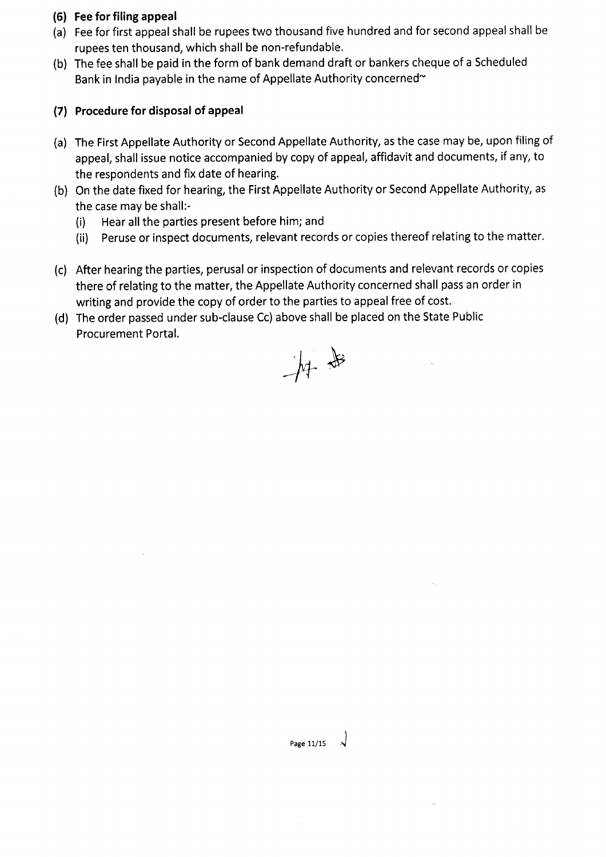### **(6) Fee for filing appeal**

- (a) Feefor first appeal shall be rupees two thousand five hundred and for second appeal shall be rupees ten thousand, which shall be non-refundable.
- (b) The fee shall be paid in the form of bank demand draft or bankers cheque of a Scheduled Bank in India payable in the name of Appellate Authority concerned $\sim$

## **(7) Procedure for disposal of appeal**

- (a) The First Appellate Authority or Second Appellate Authority, as the case may be, upon filing of appeal, shall issue notice accompanied by copy of appeal, affidavit and documents, if any, to the respondents and fix date of hearing.
- (b) On the date fixed for hearing, the First Appellate Authority or Second Appellate Authority, as the case may be shall:-
	- (i) Hear all the parties present before him; and
	- (ii) Peruse or inspect documents, relevant records or copies thereof relating to the matter.
- (c) After hearing the parties, perusal or inspection of documents and relevant records or copies there of relating to the matter, the Appellate Authority concerned shall passan order in writing and provide the copy of order to the parties to appeal free of cost.
- (d) The order passed under sub-clause Cc) above shall be placed on the State Public Procurement Portal.

中步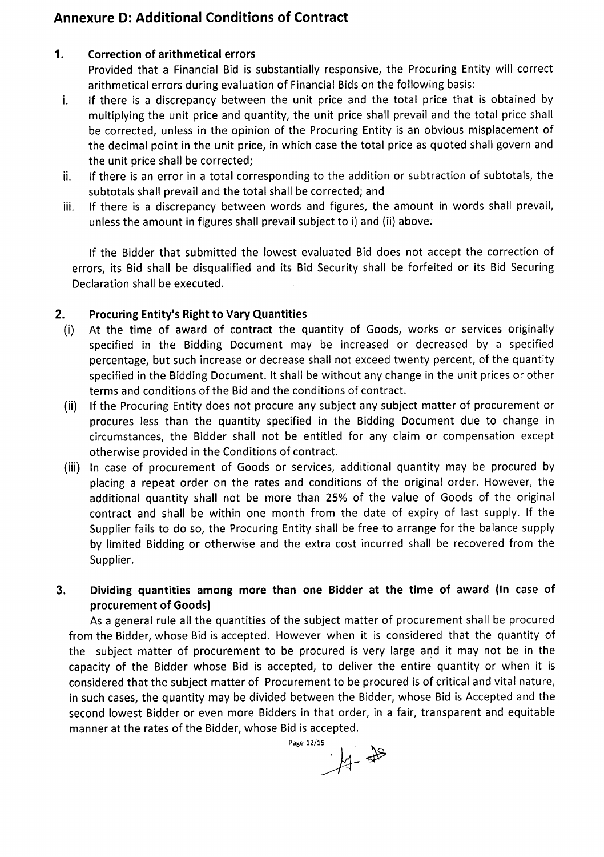# **Annexure 0: Additional Conditions of Contract**

### **1. Correction of arithmetical errors**

Provided that a Financial Bid is substantially responsive, the Procuring Entity will correct arithmetical errors during evaluation of Financial Bids on the following basis:

- i. If there is a discrepancy between the unit price and the total price that is obtained by multiplying the unit price and quantity, the unit price shall prevail and the total price shall be corrected, unless in the opinion of the Procuring Entity is an obvious misplacement of the decimal point in the unit price, in which case the total price as quoted shall govern and the unit price shall be corrected;
- ii. If there is an error in a total corresponding to the addition or subtraction of subtotals, the subtotals shall prevail and the total shall be corrected; and
- iii. If there is a discrepancy between words and figures, the amount in words shall prevail, unless the amount in figures shall prevail subject to i) and (ii) above.

If the Bidder that submitted the lowest evaluated Bid does not accept the correction of errors, its Bid shall be disqualified and its Bid Security shall be forfeited or its Bid Securing Declaration shall be executed.

### **2. Procuring Entity's Right to Vary Quantities**

- (i) At the time of award of contract the quantity of Goods, works or services originally specified in the Bidding Document may be increased or decreased by a specified percentage, but such increase or decrease shall not exceed twenty percent, of the quantity specified in the Bidding Document. It shall be without any change in the unit prices or other terms and conditions of the Bid and the conditions of contract.
- (ii) If the Procuring Entity does not procure any subject any subject matter of procurement or procures less than the quantity specified in the Bidding Document due to change in circumstances, the Bidder shall not be entitled for any claim or compensation except otherwise provided in the Conditions of contract.
- (iii) In case of procurement of Goods or services, additional quantity may be procured by placing a repeat order on the rates and conditions of the original order. However, the additional quantity shall not be more than 25% of the value of Goods of the original contract and shall be within one month from the date of expiry of last supply. If the Supplier fails to do so, the Procuring Entity shall be free to arrange for the balance supply by limited Bidding or otherwise and the extra cost incurred shall be recovered from the Supplier.
- **3. Dividing quantities among more than one Bidder at the time of award (In** case **of procurement of Goods)**

As a general rule all the quantities of the subject matter of procurement shall be procured from the Bidder, whose Bid is accepted. However when it is considered that the quantity of the subject matter of procurement to be procured is very large and it may not be in the capacity of the Bidder whose Bid is accepted, to deliver the entire quantity or when it is considered that the subject matter of Procurement to be procured is of critical and vital nature, in such cases, the quantity may be divided between the Bidder, whose Bid is Accepted and the second lowest Bidder or even more Bidders in that order, in a fair, transparent and equitable manner at the rates of the Bidder, whose Bid is accepted.

Page 12/15<br>*i*<sub>d</sub>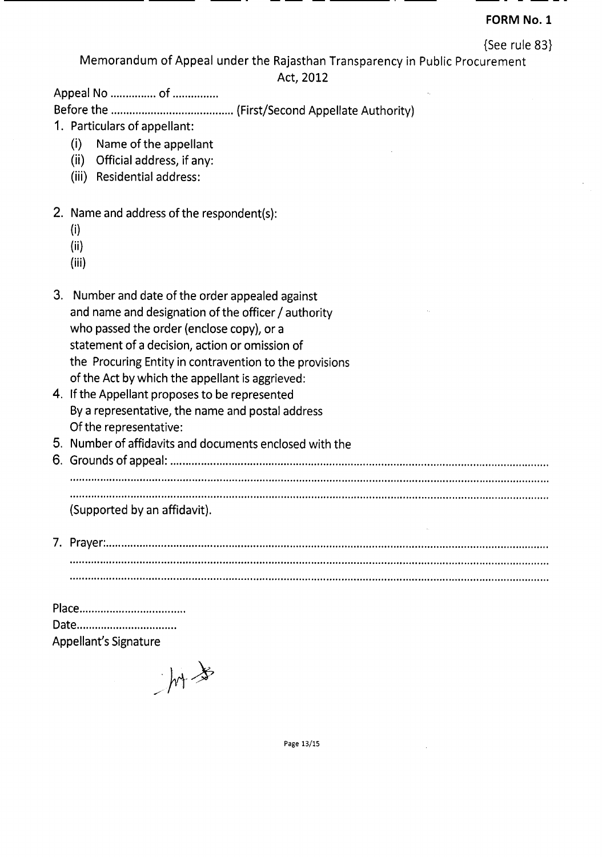### FORM No.1

{See rule 83}

Memorandum of Appeal under the Rajasthan Transparency in Public Procurement

Act, 2012

--- -- -----

Appeal No ............... of ...............

Before the (First/Second Appellate Authority)

- 1. Particulars of appellant:
	- (i) Name of the appellant
	- (ii) Official address, if any:
	- (iii) Residential address:

## 2. Name and address of the respondent(s):

- (i)
- (ii)
- (iii)
- 3. Number and date of the order appealed against and name and designation of the officer / authority who passed the order (enclose copy), or a statement of a decision, action or omission of the Procuring Entity in contravention to the provisions of the Act by which the appellant is aggrieved:
- 4. If the Appellant proposes to be represented By a representative, the name and postal address Of the representative:
- 5. Number of affidavits and documents enclosed with the
- 6. Grounds of appeal: . ............................................................................................................................................................. ........, . (Supported by an affidavit).
- 7. Prayer: . ••••••••••••••••••••••••,•••••••••••••••••••••••••••••••••••••••••••••••••••••••••••••••••••••••••••••••••••••••••••••••••••••••••••1'••••••••••••••••••••••• ................................................................................................................ , , , , .

| Date                  |
|-----------------------|
| Appellant's Signature |

 $hr^{*}$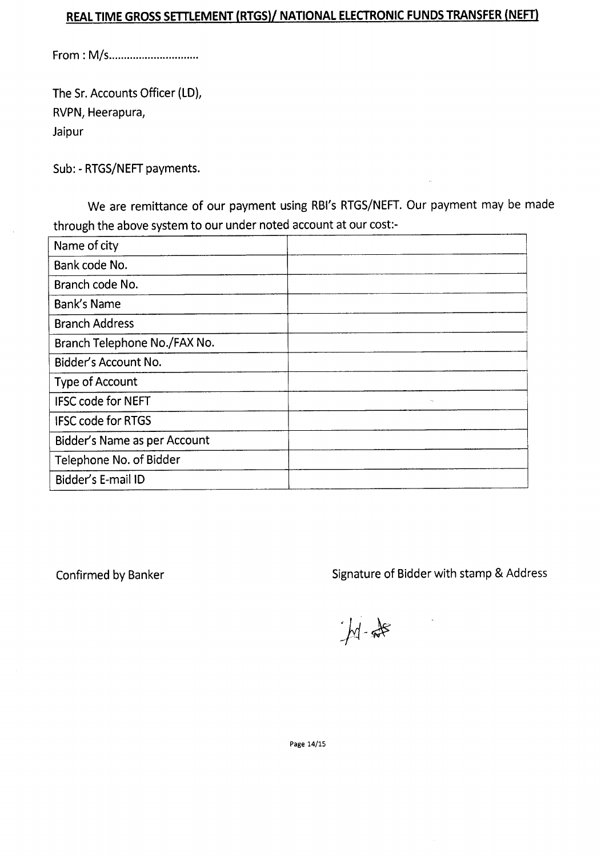# **REALTIME GROSSSmLEMENT (RTGS)/ NATIONAL ELECTRONIC FUNDS TRANSFER (NEFT)**

From: M/s ..

The Sr. Accounts Officer (LD), RVPN, Heerapura, Jaipur

Sub: - RTGS/NEFT payments.

We are remittance of our payment using RBI's RTGS/NEFT. Our payment may be made through the above system to our under noted account at our cost:-

| Name of city                 |                          |
|------------------------------|--------------------------|
| Bank code No.                |                          |
| Branch code No.              |                          |
| Bank's Name                  |                          |
| <b>Branch Address</b>        |                          |
| Branch Telephone No./FAX No. |                          |
| Bidder's Account No.         |                          |
| <b>Type of Account</b>       |                          |
| <b>IFSC code for NEFT</b>    | $\mathbf{v}_\mathrm{in}$ |
| <b>IFSC code for RTGS</b>    |                          |
| Bidder's Name as per Account |                          |
| Telephone No. of Bidder      |                          |
| Bidder's E-mail ID           |                          |

Confirmed by Banker Signature of Bidder with stamp & Address

 $M = \frac{1}{2}$ 

Page 14/15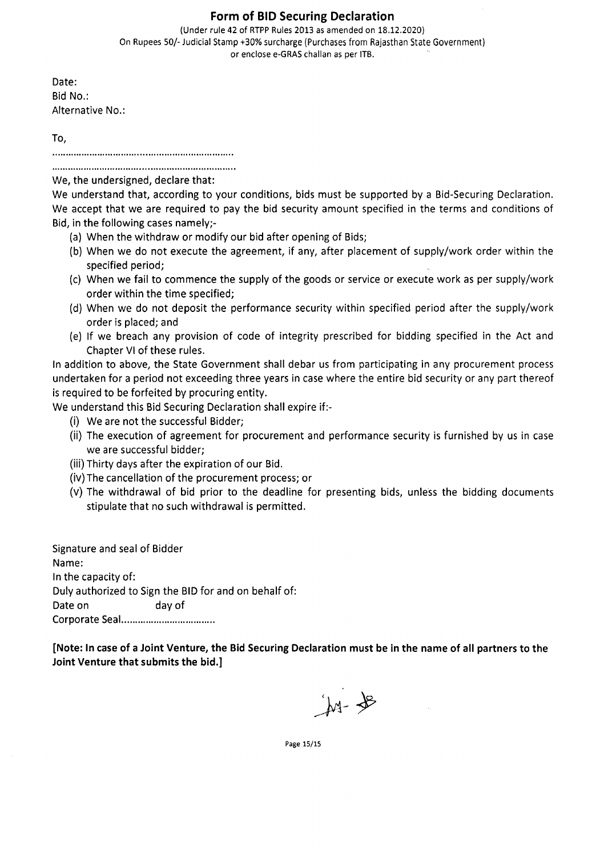#### Form of BID Securing Declaration

(Under rule 42 of RTPP Rules 2013 as amended on 18.12.2020) On Rupees 50/- Judicial Stamp +30% surcharge (Purchases from Rajasthan State Government) or enclose e-GRAS challan as per ITB.

Date: Bid No.: Alternative No.:

To,

We, the undersigned, declare that:

We understand that, according to your conditions, bids must be supported by a Bid-Securing Declaration. We accept that we are required to pay the bid security amount specified in the terms and conditions of Bid, in the following cases namely;-

- (a) When the withdraw or modify our bid after opening of Bids;
- (b) When we do not execute the agreement, if any, after placement of supply/work order within the specified period;
- (c) When we fail to commence the supply of the goods or service or execute work as per supply/work order within the time specified;
- (d) When we do not deposit the performance security within specified period after the supply/work order is placed; and
- (e) If we breach any provision of code of integrity prescribed for bidding specified in the Act and Chapter VI of these rules.

In addition to above, the State Government shall debar us from participating in any procurement process undertaken for a period not exceeding three years in casewhere the entire bid security or any part thereof is required to be forfeited by procuring entity.

We understand this Bid Securing Declaration shall expire if:-

- (i) We are not the successful Bidder;
- (ii) The execution of agreement for procurement and performance security is furnished by us in case we are successful bidder;
- (iii) Thirty days after the expiration of our Bid.
- (iv) The cancellation of the procurement process; or
- (v) The withdrawal of bid prior to the deadline for presenting bids, unless the bidding documents stipulate that no such withdrawal is permitted.

Signature and seal of Bidder Name: In the capacity of: Duly authorized to Sign the BID for and on behalf of: Date on day of Corporate Seal .

[Note: In caseof aJoint Venture, the Bid Securing Declaration must be in the name of all partners to the Joint Venture that submits the bid.]

jut- de

Page 15/15